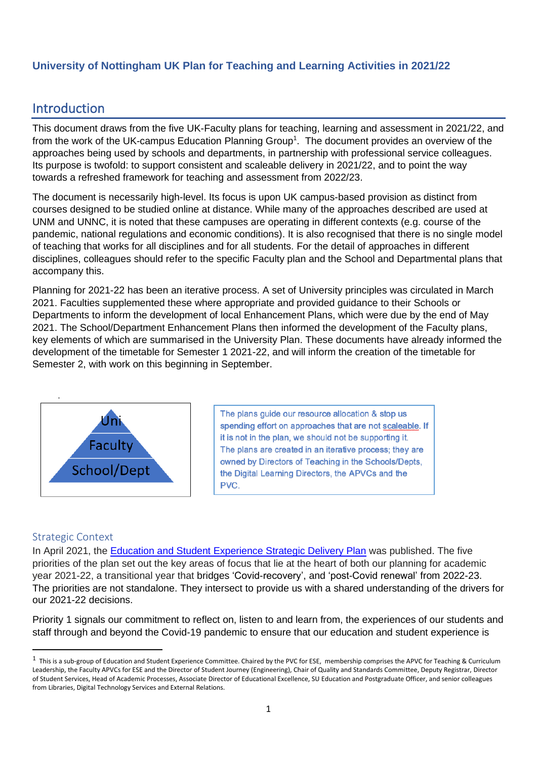## **University of Nottingham UK Plan for Teaching and Learning Activities in 2021/22**

# Introduction

This document draws from the five UK-Faculty plans for teaching, learning and assessment in 2021/22, and from the work of the UK-campus Education Planning Group<sup>1</sup>. The document provides an overview of the approaches being used by schools and departments, in partnership with professional service colleagues. Its purpose is twofold: to support consistent and scaleable delivery in 2021/22, and to point the way towards a refreshed framework for teaching and assessment from 2022/23.

The document is necessarily high-level. Its focus is upon UK campus-based provision as distinct from courses designed to be studied online at distance. While many of the approaches described are used at UNM and UNNC, it is noted that these campuses are operating in different contexts (e.g. course of the pandemic, national regulations and economic conditions). It is also recognised that there is no single model of teaching that works for all disciplines and for all students. For the detail of approaches in different disciplines, colleagues should refer to the specific Faculty plan and the School and Departmental plans that accompany this.

Planning for 2021-22 has been an iterative process. A set of University principles was circulated in March 2021. Faculties supplemented these where appropriate and provided guidance to their Schools or Departments to inform the development of local Enhancement Plans, which were due by the end of May 2021. The School/Department Enhancement Plans then informed the development of the Faculty plans, key elements of which are summarised in the University Plan. These documents have already informed the development of the timetable for Semester 1 2021-22, and will inform the creation of the timetable for Semester 2, with work on this beginning in September.



The plans guide our resource allocation & stop us spending effort on approaches that are not scaleable. If it is not in the plan, we should not be supporting it. The plans are created in an iterative process; they are owned by Directors of Teaching in the Schools/Depts, the Digital Learning Directors, the APVCs and the PVC.

#### Strategic Context

In April 2021, the [Education and Student Experience Strategic Delivery Plan](https://www.nottingham.ac.uk/strategy/documents/ese-strategic-delivery-plan-approved-final-09.04.21.pdf) was published. The five priorities of the plan set out the key areas of focus that lie at the heart of both our planning for academic year 2021-22, a transitional year that bridges 'Covid-recovery', and 'post-Covid renewal' from 2022-23. The priorities are not standalone. They intersect to provide us with a shared understanding of the drivers for our 2021-22 decisions.

Priority 1 signals our commitment to reflect on, listen to and learn from, the experiences of our students and staff through and beyond the Covid-19 pandemic to ensure that our education and student experience is

 $<sup>1</sup>$  This is a sub-group of Education and Student Experience Committee. Chaired by the PVC for ESE, membership comprises the APVC for Teaching & Curriculum</sup> Leadership, the Faculty APVCs for ESE and the Director of Student Journey (Engineering), Chair of Quality and Standards Committee, Deputy Registrar, Director of Student Services, Head of Academic Processes, Associate Director of Educational Excellence, SU Education and Postgraduate Officer, and senior colleagues from Libraries, Digital Technology Services and External Relations.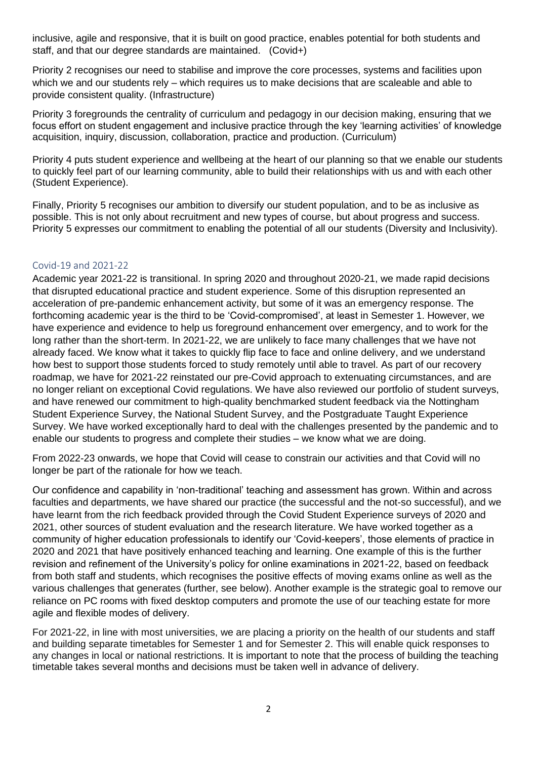inclusive, agile and responsive, that it is built on good practice, enables potential for both students and staff, and that our degree standards are maintained. (Covid+)

Priority 2 recognises our need to stabilise and improve the core processes, systems and facilities upon which we and our students rely – which requires us to make decisions that are scaleable and able to provide consistent quality. (Infrastructure)

Priority 3 foregrounds the centrality of curriculum and pedagogy in our decision making, ensuring that we focus effort on student engagement and inclusive practice through the key 'learning activities' of knowledge acquisition, inquiry, discussion, collaboration, practice and production. (Curriculum)

Priority 4 puts student experience and wellbeing at the heart of our planning so that we enable our students to quickly feel part of our learning community, able to build their relationships with us and with each other (Student Experience).

Finally, Priority 5 recognises our ambition to diversify our student population, and to be as inclusive as possible. This is not only about recruitment and new types of course, but about progress and success. Priority 5 expresses our commitment to enabling the potential of all our students (Diversity and Inclusivity).

#### Covid-19 and 2021-22

Academic year 2021-22 is transitional. In spring 2020 and throughout 2020-21, we made rapid decisions that disrupted educational practice and student experience. Some of this disruption represented an acceleration of pre-pandemic enhancement activity, but some of it was an emergency response. The forthcoming academic year is the third to be 'Covid-compromised', at least in Semester 1. However, we have experience and evidence to help us foreground enhancement over emergency, and to work for the long rather than the short-term. In 2021-22, we are unlikely to face many challenges that we have not already faced. We know what it takes to quickly flip face to face and online delivery, and we understand how best to support those students forced to study remotely until able to travel. As part of our recovery roadmap, we have for 2021-22 reinstated our pre-Covid approach to extenuating circumstances, and are no longer reliant on exceptional Covid regulations. We have also reviewed our portfolio of student surveys, and have renewed our commitment to high-quality benchmarked student feedback via the Nottingham Student Experience Survey, the National Student Survey, and the Postgraduate Taught Experience Survey. We have worked exceptionally hard to deal with the challenges presented by the pandemic and to enable our students to progress and complete their studies – we know what we are doing.

From 2022-23 onwards, we hope that Covid will cease to constrain our activities and that Covid will no longer be part of the rationale for how we teach.

Our confidence and capability in 'non-traditional' teaching and assessment has grown. Within and across faculties and departments, we have shared our practice (the successful and the not-so successful), and we have learnt from the rich feedback provided through the Covid Student Experience surveys of 2020 and 2021, other sources of student evaluation and the research literature. We have worked together as a community of higher education professionals to identify our 'Covid-keepers', those elements of practice in 2020 and 2021 that have positively enhanced teaching and learning. One example of this is the further revision and refinement of the University's policy for online examinations in 2021-22, based on feedback from both staff and students, which recognises the positive effects of moving exams online as well as the various challenges that generates (further, see below). Another example is the strategic goal to remove our reliance on PC rooms with fixed desktop computers and promote the use of our teaching estate for more agile and flexible modes of delivery.

For 2021-22, in line with most universities, we are placing a priority on the health of our students and staff and building separate timetables for Semester 1 and for Semester 2. This will enable quick responses to any changes in local or national restrictions. It is important to note that the process of building the teaching timetable takes several months and decisions must be taken well in advance of delivery.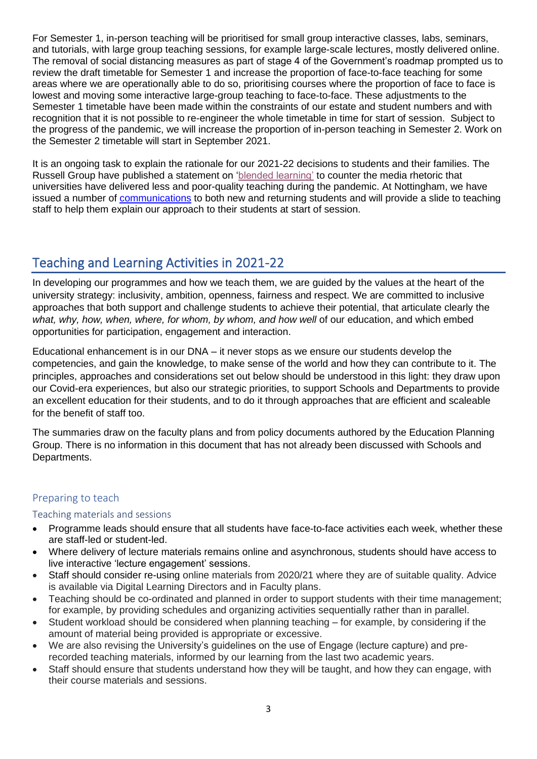For Semester 1, in-person teaching will be prioritised for small group interactive classes, labs, seminars, and tutorials, with large group teaching sessions, for example large-scale lectures, mostly delivered online. The removal of social distancing measures as part of stage 4 of the Government's roadmap prompted us to review the draft timetable for Semester 1 and increase the proportion of face-to-face teaching for some areas where we are operationally able to do so, prioritising courses where the proportion of face to face is lowest and moving some interactive large-group teaching to face-to-face. These adjustments to the Semester 1 timetable have been made within the constraints of our estate and student numbers and with recognition that it is not possible to re-engineer the whole timetable in time for start of session. Subject to the progress of the pandemic, we will increase the proportion of in-person teaching in Semester 2. Work on the Semester 2 timetable will start in September 2021.

It is an ongoing task to explain the rationale for our 2021-22 decisions to students and their families. The Russell Group have published a statement on ['blended learning'](https://russellgroup.ac.uk/news/blended-learning-at-russell-group-universities/) to counter the media rhetoric that universities have delivered less and poor-quality teaching during the pandemic. At Nottingham, we have issued a number of [communications](https://www.nottingham.ac.uk/coronavirus/communications/archive-of-communications.aspx) to both new and returning students and will provide a slide to teaching staff to help them explain our approach to their students at start of session.

# Teaching and Learning Activities in 2021-22

In developing our programmes and how we teach them, we are guided by the values at the heart of the university strategy: inclusivity, ambition, openness, fairness and respect. We are committed to inclusive approaches that both support and challenge students to achieve their potential, that articulate clearly the what, why, how, when, where, for whom, by whom, and how well of our education, and which embed opportunities for participation, engagement and interaction.

Educational enhancement is in our DNA – it never stops as we ensure our students develop the competencies, and gain the knowledge, to make sense of the world and how they can contribute to it. The principles, approaches and considerations set out below should be understood in this light: they draw upon our Covid-era experiences, but also our strategic priorities, to support Schools and Departments to provide an excellent education for their students, and to do it through approaches that are efficient and scaleable for the benefit of staff too.

The summaries draw on the faculty plans and from policy documents authored by the Education Planning Group. There is no information in this document that has not already been discussed with Schools and Departments.

## Preparing to teach

### Teaching materials and sessions

- Programme leads should ensure that all students have face-to-face activities each week, whether these are staff-led or student-led.
- Where delivery of lecture materials remains online and asynchronous, students should have access to live interactive 'lecture engagement' sessions.
- Staff should consider re-using online materials from 2020/21 where they are of suitable quality. Advice is available via Digital Learning Directors and in Faculty plans.
- Teaching should be co-ordinated and planned in order to support students with their time management; for example, by providing schedules and organizing activities sequentially rather than in parallel.
- Student workload should be considered when planning teaching for example, by considering if the amount of material being provided is appropriate or excessive.
- We are also revising the University's guidelines on the use of Engage (lecture capture) and prerecorded teaching materials, informed by our learning from the last two academic years.
- Staff should ensure that students understand how they will be taught, and how they can engage, with their course materials and sessions.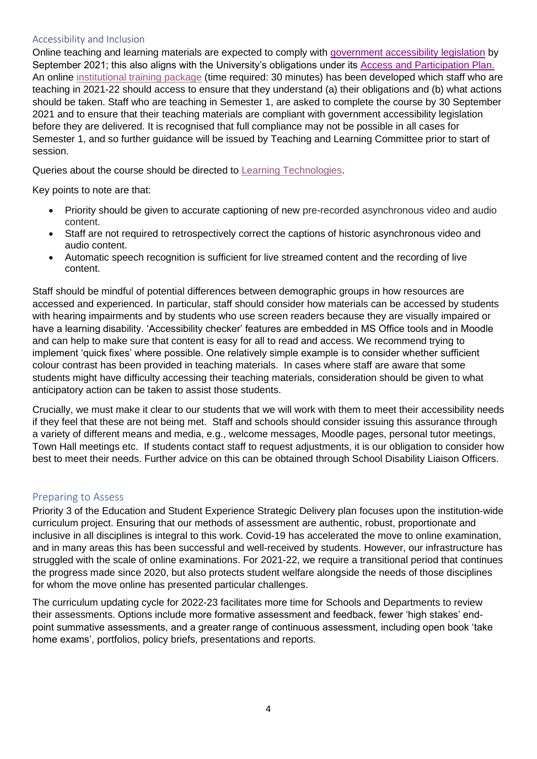#### Accessibility and Inclusion

Online teaching and learning materials are expected to comply with [government accessibility legislation](https://accessibility.campaign.gov.uk/) by September 2021; this also aligns with the University's obligations under its [Access and Participation Plan.](https://www.nottingham.ac.uk/externalrelations/documents/theuniversityofnottingham-app-2020-21-v1-10007154.pdf) An online [institutional training package](https://training.nottingham.ac.uk/Course?courseref=eLAoTaLM&dates=5) (time required: 30 minutes) has been developed which staff who are teaching in 2021-22 should access to ensure that they understand (a) their obligations and (b) what actions should be taken. Staff who are teaching in Semester 1, are asked to complete the course by 30 September 2021 and to ensure that their teaching materials are compliant with government accessibility legislation before they are delivered. It is recognised that full compliance may not be possible in all cases for Semester 1, and so further guidance will be issued by Teaching and Learning Committee prior to start of session.

Queries about the course should be directed to [Learning Technologies.](mailto:learning-technologies@nottingham.ac.uk)

Key points to note are that:

- Priority should be given to accurate captioning of new pre-recorded asynchronous video and audio content.
- Staff are not required to retrospectively correct the captions of historic asynchronous video and audio content.
- Automatic speech recognition is sufficient for live streamed content and the recording of live content.

Staff should be mindful of potential differences between demographic groups in how resources are accessed and experienced. In particular, staff should consider how materials can be accessed by students with hearing impairments and by students who use screen readers because they are visually impaired or have a learning disability. 'Accessibility checker' features are embedded in MS Office tools and in Moodle and can help to make sure that content is easy for all to read and access. We recommend trying to implement 'quick fixes' where possible. One relatively simple example is to consider whether sufficient colour contrast has been provided in teaching materials. In cases where staff are aware that some students might have difficulty accessing their teaching materials, consideration should be given to what anticipatory action can be taken to assist those students.

Crucially, we must make it clear to our students that we will work with them to meet their accessibility needs if they feel that these are not being met. Staff and schools should consider issuing this assurance through a variety of different means and media, e.g., welcome messages, Moodle pages, personal tutor meetings, Town Hall meetings etc. If students contact staff to request adjustments, it is our obligation to consider how best to meet their needs. Further advice on this can be obtained through School Disability Liaison Officers.

#### Preparing to Assess

Priority 3 of the Education and Student Experience Strategic Delivery plan focuses upon the institution-wide curriculum project. Ensuring that our methods of assessment are authentic, robust, proportionate and inclusive in all disciplines is integral to this work. Covid-19 has accelerated the move to online examination, and in many areas this has been successful and well-received by students. However, our infrastructure has struggled with the scale of online examinations. For 2021-22, we require a transitional period that continues the progress made since 2020, but also protects student welfare alongside the needs of those disciplines for whom the move online has presented particular challenges.

The curriculum updating cycle for 2022-23 facilitates more time for Schools and Departments to review their assessments. Options include more formative assessment and feedback, fewer 'high stakes' endpoint summative assessments, and a greater range of continuous assessment, including open book 'take home exams', portfolios, policy briefs, presentations and reports.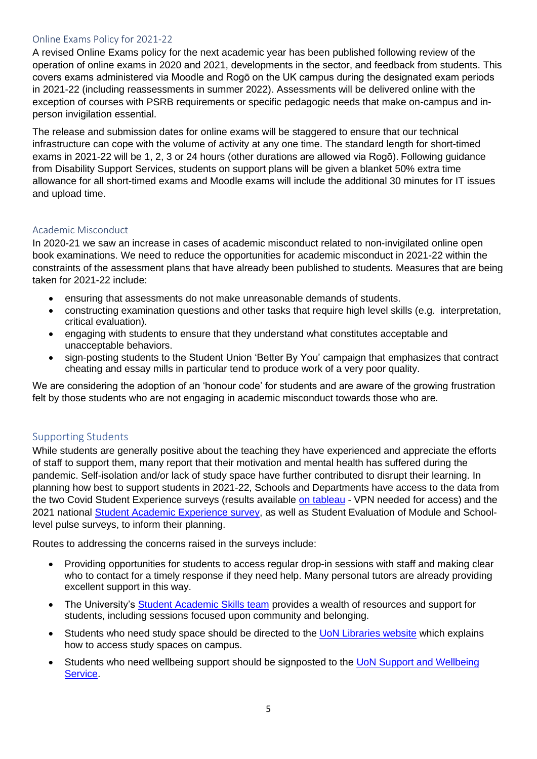#### Online Exams Policy for 2021-22

A revised Online Exams policy for the next academic year has been published following review of the operation of online exams in 2020 and 2021, developments in the sector, and feedback from students. This covers exams administered via Moodle and Rogō on the UK campus during the designated exam periods in 2021-22 (including reassessments in summer 2022). Assessments will be delivered online with the exception of courses with PSRB requirements or specific pedagogic needs that make on-campus and inperson invigilation essential.

The release and submission dates for online exams will be staggered to ensure that our technical infrastructure can cope with the volume of activity at any one time. The standard length for short-timed exams in 2021-22 will be 1, 2, 3 or 24 hours (other durations are allowed via Rogō). Following guidance from Disability Support Services, students on support plans will be given a blanket 50% extra time allowance for all short-timed exams and Moodle exams will include the additional 30 minutes for IT issues and upload time.

#### Academic Misconduct

In 2020-21 we saw an increase in cases of academic misconduct related to non-invigilated online open book examinations. We need to reduce the opportunities for academic misconduct in 2021-22 within the constraints of the assessment plans that have already been published to students. Measures that are being taken for 2021-22 include:

- ensuring that assessments do not make unreasonable demands of students.
- constructing examination questions and other tasks that require high level skills (e.g. interpretation, critical evaluation).
- engaging with students to ensure that they understand what constitutes acceptable and unacceptable behaviors.
- sign-posting students to the Student Union 'Better By You' campaign that emphasizes that contract cheating and essay mills in particular tend to produce work of a very poor quality.

We are considering the adoption of an 'honour code' for students and are aware of the growing frustration felt by those students who are not engaging in academic misconduct towards those who are.

#### Supporting Students

While students are generally positive about the teaching they have experienced and appreciate the efforts of staff to support them, many report that their motivation and mental health has suffered during the pandemic. Self-isolation and/or lack of study space have further contributed to disrupt their learning. In planning how best to support students in 2021-22, Schools and Departments have access to the data from the two Covid Student Experience surveys (results available [on tableau](https://analytics.nottingham.ac.uk/#/workbooks/1320/views) - VPN needed for access) and the 2021 national [Student Academic Experience survey,](https://www.hepi.ac.uk/2021/06/24/students-highlight-the-challenges-of-their-2021-academic-experience/) as well as Student Evaluation of Module and Schoollevel pulse surveys, to inform their planning.

Routes to addressing the concerns raised in the surveys include:

- Providing opportunities for students to access regular drop-in sessions with staff and making clear who to contact for a timely response if they need help. Many personal tutors are already providing excellent support in this way.
- The University's [Student Academic Skills team](https://www.nottingham.ac.uk/library/studying/student-academic-skills/student-academic-skills-team.aspx) provides a wealth of resources and support for students, including sessions focused upon community and belonging.
- Students who need study space should be directed to the [UoN Libraries website](https://www.nottingham.ac.uk/library/) which explains how to access study spaces on campus.
- Students who need wellbeing support should be signposted to the [UoN Support and Wellbeing](https://www.nottingham.ac.uk/studentservices/services/support-and-wellbeing-service.aspx)  [Service.](https://www.nottingham.ac.uk/studentservices/services/support-and-wellbeing-service.aspx)